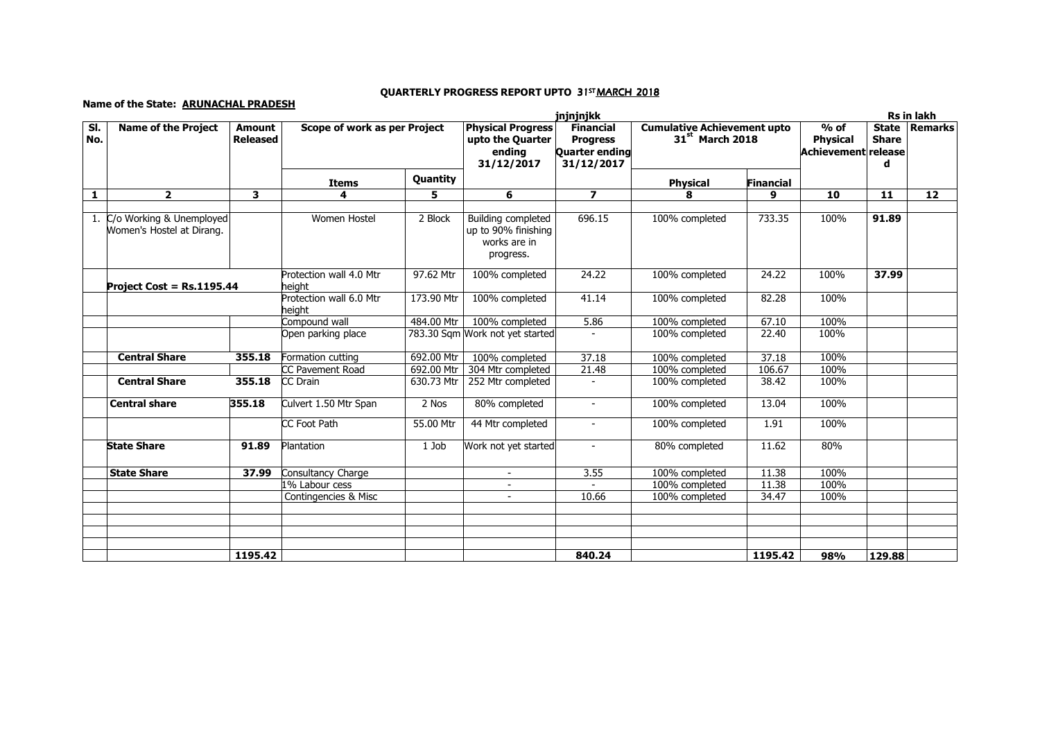## Name of the State: ARUNACHAL PRADESH

## QUARTERLY PROGRESS REPORT UPTO 31ST<u>MARCH 2018</u>

|              |                                                       |                                  | jnjnjnjkk                         |                |                                                                               |                                                                     |                                                                   |           | Rs in lakh                                       |                                   |         |
|--------------|-------------------------------------------------------|----------------------------------|-----------------------------------|----------------|-------------------------------------------------------------------------------|---------------------------------------------------------------------|-------------------------------------------------------------------|-----------|--------------------------------------------------|-----------------------------------|---------|
| SI.<br>No.   | <b>Name of the Project</b>                            | <b>Amount</b><br><b>Released</b> | Scope of work as per Project      |                | <b>Physical Progress</b><br>upto the Quarter<br>ending<br>31/12/2017          | <b>Financial</b><br><b>Progress</b><br>Quarter ending<br>31/12/2017 | <b>Cumulative Achievement upto</b><br>31 <sup>st</sup> March 2018 |           | $%$ of<br><b>Physical</b><br>Achievement release | <b>State</b><br><b>Share</b><br>d | Remarks |
|              |                                                       |                                  | <b>Items</b>                      | Quantity       |                                                                               |                                                                     | <b>Physical</b>                                                   | Financial |                                                  |                                   |         |
| $\mathbf{1}$ | $\overline{2}$                                        | $\overline{\mathbf{3}}$          | 4                                 | $\overline{5}$ | 6                                                                             | $\overline{\phantom{a}}$                                            | 8                                                                 | 9         | 10                                               | 11                                | 12      |
| 1.           | C/o Working & Unemployed<br>Women's Hostel at Dirang. |                                  | Women Hostel                      | 2 Block        | <b>Building completed</b><br>up to 90% finishing<br>works are in<br>progress. | 696.15                                                              | 100% completed                                                    | 733.35    | 100%                                             | 91.89                             |         |
|              | Project Cost = Rs.1195.44                             |                                  | Protection wall 4.0 Mtr<br>heiaht | 97.62 Mtr      | 100% completed                                                                | 24.22                                                               | 100% completed                                                    | 24.22     | 100%                                             | 37.99                             |         |
|              |                                                       |                                  | Protection wall 6.0 Mtr<br>height | 173.90 Mtr     | 100% completed                                                                | 41.14                                                               | 100% completed                                                    | 82.28     | 100%                                             |                                   |         |
|              |                                                       |                                  | Compound wall                     | 484.00 Mtr     | 100% completed                                                                | 5.86                                                                | 100% completed                                                    | 67.10     | 100%                                             |                                   |         |
|              |                                                       |                                  | Open parking place                |                | 783.30 Sqm Work not yet started                                               |                                                                     | 100% completed                                                    | 22.40     | 100%                                             |                                   |         |
|              | <b>Central Share</b>                                  | 355.18                           | Formation cutting                 | 692.00 Mtr     | 100% completed                                                                | 37.18                                                               | 100% completed                                                    | 37.18     | 100%                                             |                                   |         |
|              |                                                       |                                  | CC Pavement Road                  | 692.00 Mtr     | 304 Mtr completed                                                             | 21.48                                                               | 100% completed                                                    | 106.67    | 100%                                             |                                   |         |
|              | <b>Central Share</b>                                  | 355.18                           | CC Drain                          | 630.73 Mtr     | 252 Mtr completed                                                             |                                                                     | 100% completed                                                    | 38.42     | 100%                                             |                                   |         |
|              | <b>Central share</b>                                  | 355.18                           | Culvert 1.50 Mtr Span             | 2 Nos          | 80% completed                                                                 | $\sim$                                                              | 100% completed                                                    | 13.04     | 100%                                             |                                   |         |
|              |                                                       |                                  | CC Foot Path                      | 55.00 Mtr      | 44 Mtr completed                                                              |                                                                     | 100% completed                                                    | 1.91      | 100%                                             |                                   |         |
|              | <b>State Share</b>                                    | 91.89                            | Plantation                        | 1 Job          | Work not yet started                                                          | $\sim$                                                              | 80% completed                                                     | 11.62     | 80%                                              |                                   |         |
|              | <b>State Share</b>                                    | 37.99                            | Consultancy Charge                |                |                                                                               | 3.55                                                                | 100% completed                                                    | 11.38     | 100%                                             |                                   |         |
|              |                                                       |                                  | 1% Labour cess                    |                | $\overline{\phantom{a}}$                                                      |                                                                     | 100% completed                                                    | 11.38     | 100%                                             |                                   |         |
|              |                                                       |                                  | Contingencies & Misc              |                | $\sim$                                                                        | 10.66                                                               | 100% completed                                                    | 34.47     | 100%                                             |                                   |         |
|              |                                                       |                                  |                                   |                |                                                                               |                                                                     |                                                                   |           |                                                  |                                   |         |
|              |                                                       | 1195.42                          |                                   |                |                                                                               | 840.24                                                              |                                                                   | 1195.42   | 98%                                              | 129.88                            |         |